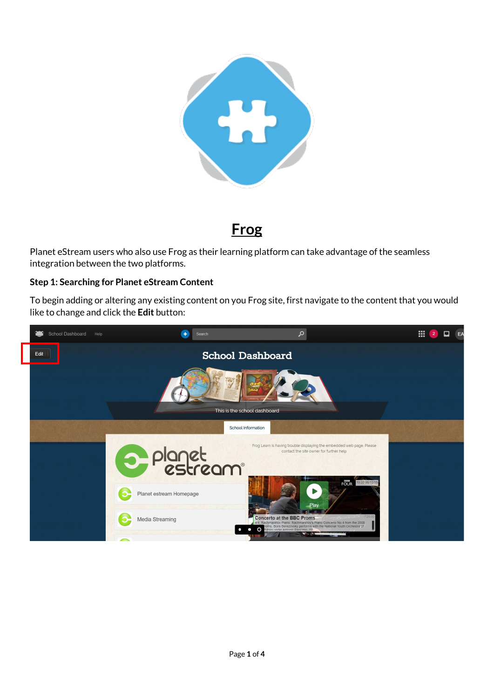

**Frog**

Planet eStream users who also use Frog as their learning platform can take advantage of the seamless integration between the two platforms.

## **Step 1: Searching for Planet eStream Content**

To begin adding or altering any existing content on you Frog site, first navigate to the content that you would like to change and click the **Edit** button:

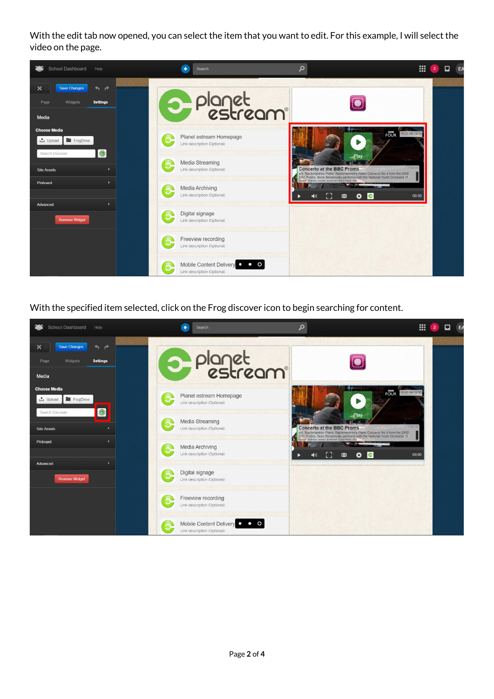With the edit tab now opened, you can select the item that you want to edit. For this example, I will select the video on the page.



With the specified item selected, click on the Frog discover icon to begin searching for content.

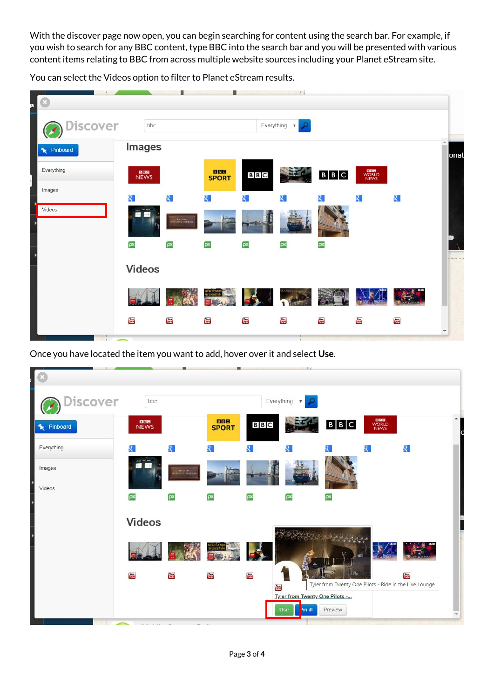With the discover page now open, you can begin searching for content using the search bar. For example, if you wish to search for any BBC content, type BBC into the search bar and you will be presented with various content items relating to BBC from across multiple website sources including your Planet eStream site.

n. n.  $-13$ bbc Everything  $\sqrt{\ }$ scover **Images** Pinboard onat Everything BBC **BBG**<br>JEWS  $B|B|C$  $B \mid B \mid C$ **SPORT** Images  $\overline{\mathbf{S}}$  $\overline{\mathbf{R}}$  $\overline{\mathbf{R}}$  $\overline{\mathbf{Q}}$ श् Q. Videos ρx ρx ρ× ρx ρx  $\overline{\mathsf{p}}$ **Videos** Vau<br>Tube You<br>Tubs You<br>Tube You<br>Tubo You<br>Tube **You**<br>Tubs **You**<br>Tubs  $\frac{V_{\rm{O}}(t)}{V_{\rm{O}}(t)}$ 

You can select the Videos option to filter to Planet eStream results.

Once you have located the item you want to add, hover over it and select Use.